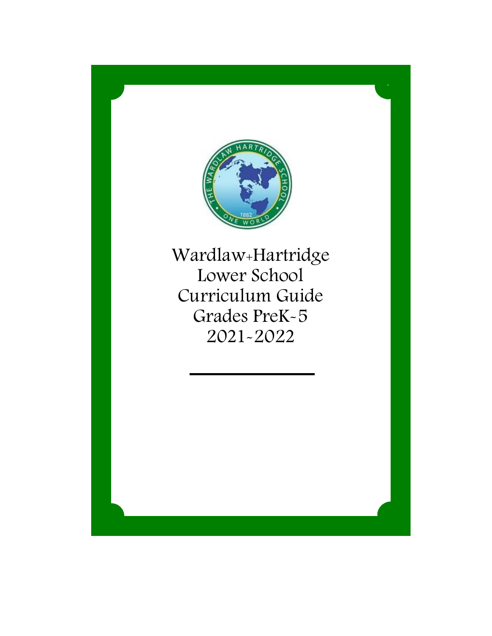

Wardlaw+Hartridge Lower School Curriculum Guide Grades PreK-5 2021-2022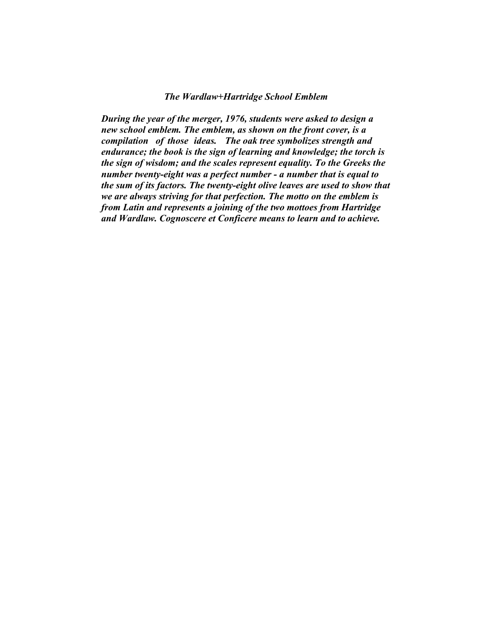#### *The Wardlaw+Hartridge School Emblem*

*During the year of the merger, 1976, students were asked to design a new school emblem. The emblem, as shown on the front cover, is a compilation of those ideas. The oak tree symbolizes strength and endurance; the book is the sign of learning and knowledge; the torch is the sign of wisdom; and the scales represent equality. To the Greeks the number twenty-eight was a perfect number - a number that is equal to the sum of its factors. The twenty-eight olive leaves are used to show that we are always striving for that perfection. The motto on the emblem is from Latin and represents a joining of the two mottoes from Hartridge and Wardlaw. Cognoscere et Conficere means to learn and to achieve.*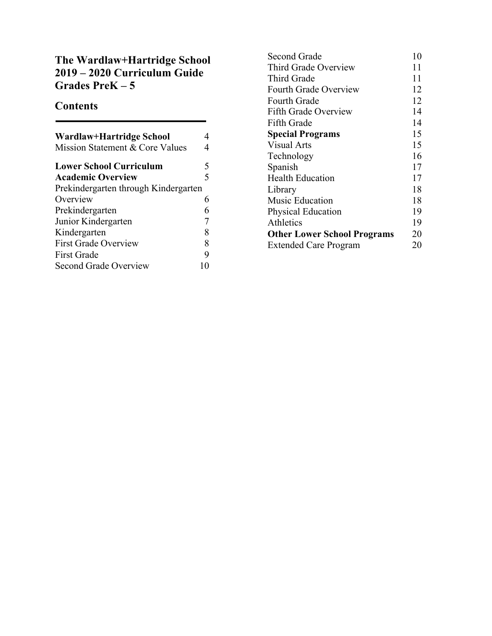# **The Wardlaw+Hartridge School 2019 – 2020 Curriculum Guide Grades PreK – 5**

# **Contents**

| Wardlaw+Hartridge School             |   |
|--------------------------------------|---|
| Mission Statement & Core Values      |   |
| <b>Lower School Curriculum</b>       | 5 |
| <b>Academic Overview</b>             | 5 |
| Prekindergarten through Kindergarten |   |
| Overview                             | 6 |
| Prekindergarten                      |   |
| Junior Kindergarten                  |   |
| Kindergarten                         | 8 |
| <b>First Grade Overview</b>          | 8 |
| <b>First Grade</b>                   |   |
| <b>Second Grade Overview</b>         |   |

| Second Grade                       | 10 |
|------------------------------------|----|
| Third Grade Overview               | 11 |
| <b>Third Grade</b>                 | 11 |
| <b>Fourth Grade Overview</b>       | 12 |
| <b>Fourth Grade</b>                | 12 |
| Fifth Grade Overview               | 14 |
| Fifth Grade                        | 14 |
| <b>Special Programs</b>            | 15 |
| Visual Arts                        | 15 |
| Technology                         | 16 |
| Spanish                            | 17 |
| <b>Health Education</b>            | 17 |
| Library                            | 18 |
| Music Education                    | 18 |
| Physical Education                 | 19 |
| Athletics                          | 19 |
| <b>Other Lower School Programs</b> | 20 |
| <b>Extended Care Program</b>       | 20 |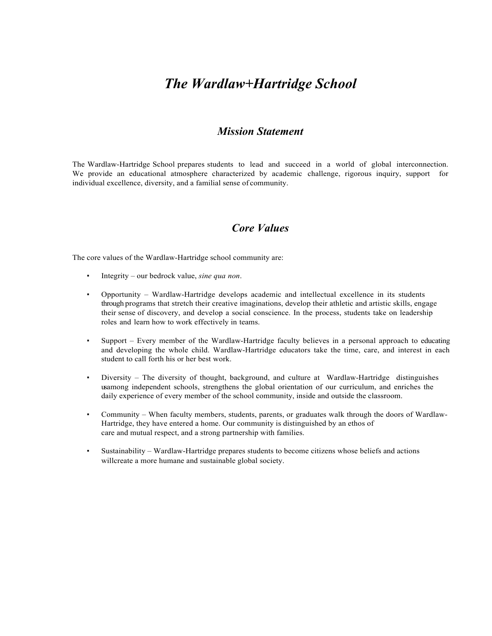# *The Wardlaw+Hartridge School*

### *Mission Statement*

The Wardlaw-Hartridge School prepares students to lead and succeed in a world of global interconnection. We provide an educational atmosphere characterized by academic challenge, rigorous inquiry, support for individual excellence, diversity, and a familial sense of community.

### *Core Values*

The core values of the Wardlaw-Hartridge school community are:

- Integrity our bedrock value, *sine qua non*.
- Opportunity Wardlaw-Hartridge develops academic and intellectual excellence in its students through programs that stretch their creative imaginations, develop their athletic and artistic skills, engage their sense of discovery, and develop a social conscience. In the process, students take on leadership roles and learn how to work effectively in teams.
- Support Every member of the Wardlaw-Hartridge faculty believes in a personal approach to educating and developing the whole child. Wardlaw-Hartridge educators take the time, care, and interest in each student to call forth his or her best work.
- Diversity The diversity of thought, background, and culture at Wardlaw-Hartridge distinguishes usamong independent schools, strengthens the global orientation of our curriculum, and enriches the daily experience of every member of the school community, inside and outside the classroom.
- Community When faculty members, students, parents, or graduates walk through the doors of Wardlaw-Hartridge, they have entered a home. Our community is distinguished by an ethos of care and mutual respect, and a strong partnership with families.
- Sustainability Wardlaw-Hartridge prepares students to become citizens whose beliefs and actions willcreate a more humane and sustainable global society.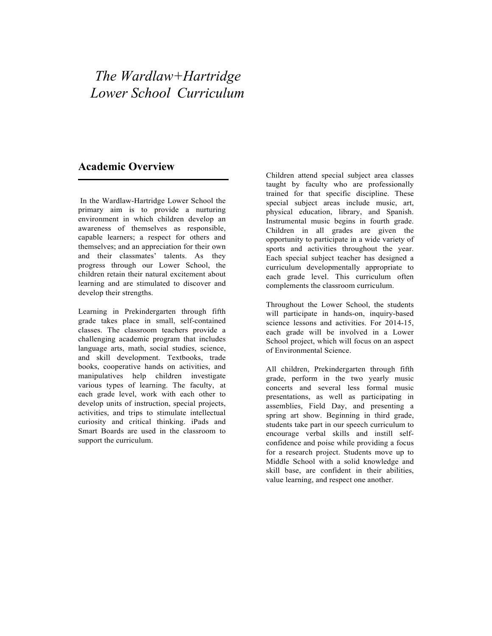# *The Wardlaw+Hartridge Lower School Curriculum*

### **Academic Overview**

In the Wardlaw-Hartridge Lower School the primary aim is to provide a nurturing environment in which children develop an awareness of themselves as responsible, capable learners; a respect for others and themselves; and an appreciation for their own and their classmates' talents. As they progress through our Lower School, the children retain their natural excitement about learning and are stimulated to discover and develop their strengths.

Learning in Prekindergarten through fifth grade takes place in small, self-contained classes. The classroom teachers provide a challenging academic program that includes language arts, math, social studies, science, and skill development. Textbooks, trade books, cooperative hands on activities, and manipulatives help children investigate various types of learning. The faculty, at each grade level, work with each other to develop units of instruction, special projects, activities, and trips to stimulate intellectual curiosity and critical thinking. iPads and Smart Boards are used in the classroom to support the curriculum.

Children attend special subject area classes taught by faculty who are professionally trained for that specific discipline. These special subject areas include music, art, physical education, library, and Spanish. Instrumental music begins in fourth grade. Children in all grades are given the opportunity to participate in a wide variety of sports and activities throughout the year. Each special subject teacher has designed a curriculum developmentally appropriate to each grade level. This curriculum often complements the classroom curriculum.

Throughout the Lower School, the students will participate in hands-on, inquiry-based science lessons and activities. For 2014-15, each grade will be involved in a Lower School project, which will focus on an aspect of Environmental Science.

All children, Prekindergarten through fifth grade, perform in the two yearly music concerts and several less formal music presentations, as well as participating in assemblies, Field Day, and presenting a spring art show. Beginning in third grade, students take part in our speech curriculum to encourage verbal skills and instill selfconfidence and poise while providing a focus for a research project. Students move up to Middle School with a solid knowledge and skill base, are confident in their abilities, value learning, and respect one another.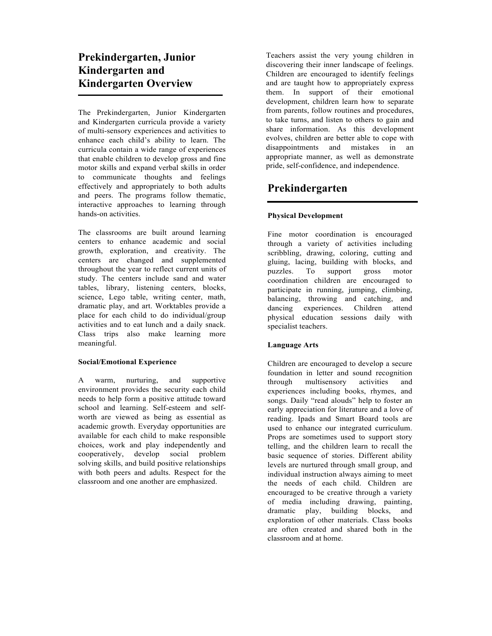# **Prekindergarten, Junior Kindergarten and Kindergarten Overview**

The Prekindergarten, Junior Kindergarten and Kindergarten curricula provide a variety of multi-sensory experiences and activities to enhance each child's ability to learn. The curricula contain a wide range of experiences that enable children to develop gross and fine motor skills and expand verbal skills in order to communicate thoughts and feelings effectively and appropriately to both adults and peers. The programs follow thematic, interactive approaches to learning through hands-on activities.

The classrooms are built around learning centers to enhance academic and social growth, exploration, and creativity. The centers are changed and supplemented throughout the year to reflect current units of study. The centers include sand and water tables, library, listening centers, blocks, science, Lego table, writing center, math, dramatic play, and art. Worktables provide a place for each child to do individual/group activities and to eat lunch and a daily snack. Class trips also make learning more meaningful.

#### **Social/Emotional Experience**

A warm, nurturing, and supportive environment provides the security each child needs to help form a positive attitude toward school and learning. Self-esteem and selfworth are viewed as being as essential as academic growth. Everyday opportunities are available for each child to make responsible choices, work and play independently and cooperatively, develop social problem solving skills, and build positive relationships with both peers and adults. Respect for the classroom and one another are emphasized.

Teachers assist the very young children in discovering their inner landscape of feelings. Children are encouraged to identify feelings and are taught how to appropriately express them. In support of their emotional development, children learn how to separate from parents, follow routines and procedures, to take turns, and listen to others to gain and share information. As this development evolves, children are better able to cope with disappointments and mistakes in an appropriate manner, as well as demonstrate pride, self-confidence, and independence.

# **Prekindergarten**

#### **Physical Development**

Fine motor coordination is encouraged through a variety of activities including scribbling, drawing, coloring, cutting and gluing, lacing, building with blocks, and puzzles. To support gross motor coordination children are encouraged to participate in running, jumping, climbing, balancing, throwing and catching, and dancing experiences. Children attend physical education sessions daily with specialist teachers.

#### **Language Arts**

Children are encouraged to develop a secure foundation in letter and sound recognition through multisensory activities and experiences including books, rhymes, and songs. Daily "read alouds" help to foster an early appreciation for literature and a love of reading. Ipads and Smart Board tools are used to enhance our integrated curriculum. Props are sometimes used to support story telling, and the children learn to recall the basic sequence of stories. Different ability levels are nurtured through small group, and individual instruction always aiming to meet the needs of each child. Children are encouraged to be creative through a variety of media including drawing, painting, dramatic play, building blocks, and exploration of other materials. Class books are often created and shared both in the classroom and at home.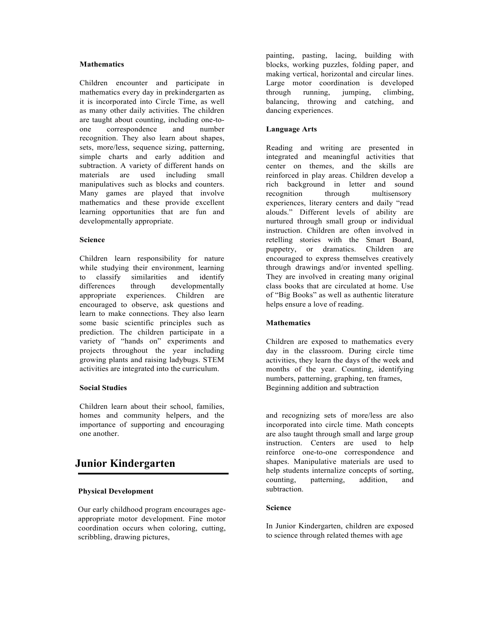#### **Mathematics**

Children encounter and participate in mathematics every day in prekindergarten as it is incorporated into Circle Time, as well as many other daily activities. The children are taught about counting, including one-toone correspondence and number recognition. They also learn about shapes, sets, more/less, sequence sizing, patterning, simple charts and early addition and subtraction. A variety of different hands on materials are used including small manipulatives such as blocks and counters. Many games are played that involve mathematics and these provide excellent learning opportunities that are fun and developmentally appropriate.

#### **Science**

Children learn responsibility for nature while studying their environment, learning to classify similarities and identify differences through developmentally appropriate experiences. Children are encouraged to observe, ask questions and learn to make connections. They also learn some basic scientific principles such as prediction. The children participate in a variety of "hands on" experiments and projects throughout the year including growing plants and raising ladybugs. STEM activities are integrated into the curriculum.

#### **Social Studies**

Children learn about their school, families, homes and community helpers, and the importance of supporting and encouraging one another.

### **Junior Kindergarten**

#### **Physical Development**

Our early childhood program encourages ageappropriate motor development. Fine motor coordination occurs when coloring, cutting, scribbling, drawing pictures,

painting, pasting, lacing, building with blocks, working puzzles, folding paper, and making vertical, horizontal and circular lines. Large motor coordination is developed through running, jumping, climbing, balancing, throwing and catching, and dancing experiences.

#### **Language Arts**

Reading and writing are presented in integrated and meaningful activities that center on themes, and the skills are reinforced in play areas. Children develop a rich background in letter and sound recognition through multisensory experiences, literary centers and daily "read alouds." Different levels of ability are nurtured through small group or individual instruction. Children are often involved in retelling stories with the Smart Board, puppetry, or dramatics. Children are encouraged to express themselves creatively through drawings and/or invented spelling. They are involved in creating many original class books that are circulated at home. Use of "Big Books" as well as authentic literature helps ensure a love of reading.

#### **Mathematics**

Children are exposed to mathematics every day in the classroom. During circle time activities, they learn the days of the week and months of the year. Counting, identifying numbers, patterning, graphing, ten frames, Beginning addition and subtraction

and recognizing sets of more/less are also incorporated into circle time. Math concepts are also taught through small and large group instruction. Centers are used to help reinforce one-to-one correspondence and shapes. Manipulative materials are used to help students internalize concepts of sorting, counting, patterning, addition, and subtraction.

#### **Science**

In Junior Kindergarten, children are exposed to science through related themes with age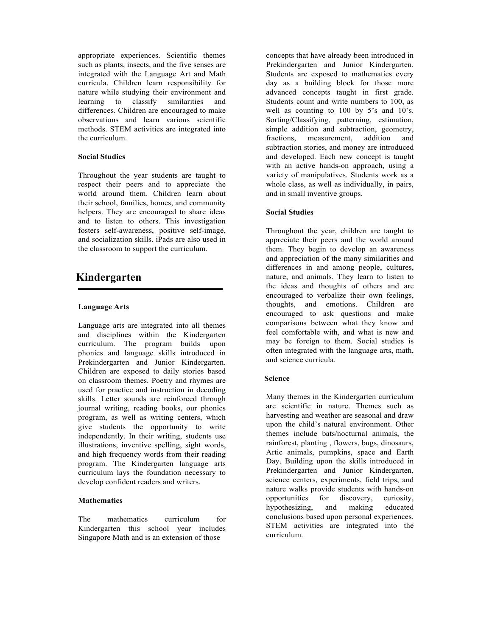appropriate experiences. Scientific themes such as plants, insects, and the five senses are integrated with the Language Art and Math curricula. Children learn responsibility for nature while studying their environment and learning to classify similarities and differences. Children are encouraged to make observations and learn various scientific methods. STEM activities are integrated into the curriculum.

#### **Social Studies**

Throughout the year students are taught to respect their peers and to appreciate the world around them. Children learn about their school, families, homes, and community helpers. They are encouraged to share ideas and to listen to others. This investigation fosters self-awareness, positive self-image, and socialization skills. iPads are also used in the classroom to support the curriculum.

### **Kindergarten**

#### **Language Arts**

Language arts are integrated into all themes and disciplines within the Kindergarten curriculum. The program builds upon phonics and language skills introduced in Prekindergarten and Junior Kindergarten. Children are exposed to daily stories based on classroom themes. Poetry and rhymes are used for practice and instruction in decoding skills. Letter sounds are reinforced through journal writing, reading books, our phonics program, as well as writing centers, which give students the opportunity to write independently. In their writing, students use illustrations, inventive spelling, sight words, and high frequency words from their reading program. The Kindergarten language arts curriculum lays the foundation necessary to develop confident readers and writers.

#### **Mathematics**

The mathematics curriculum for Kindergarten this school year includes Singapore Math and is an extension of those

concepts that have already been introduced in Prekindergarten and Junior Kindergarten. Students are exposed to mathematics every day as a building block for those more advanced concepts taught in first grade. Students count and write numbers to 100, as well as counting to 100 by 5's and 10's. Sorting/Classifying, patterning, estimation, simple addition and subtraction, geometry, fractions, measurement, addition and subtraction stories, and money are introduced and developed. Each new concept is taught with an active hands-on approach, using a variety of manipulatives. Students work as a whole class, as well as individually, in pairs, and in small inventive groups.

#### **Social Studies**

Throughout the year, children are taught to appreciate their peers and the world around them. They begin to develop an awareness and appreciation of the many similarities and differences in and among people, cultures, nature, and animals. They learn to listen to the ideas and thoughts of others and are encouraged to verbalize their own feelings, thoughts, and emotions. Children are encouraged to ask questions and make comparisons between what they know and feel comfortable with, and what is new and may be foreign to them. Social studies is often integrated with the language arts, math, and science curricula.

#### **Science**

Many themes in the Kindergarten curriculum are scientific in nature. Themes such as harvesting and weather are seasonal and draw upon the child's natural environment. Other themes include bats/nocturnal animals, the rainforest, planting , flowers, bugs, dinosaurs, Artic animals, pumpkins, space and Earth Day. Building upon the skills introduced in Prekindergarten and Junior Kindergarten, science centers, experiments, field trips, and nature walks provide students with hands-on opportunities for discovery, curiosity, hypothesizing, and making educated conclusions based upon personal experiences. STEM activities are integrated into the curriculum.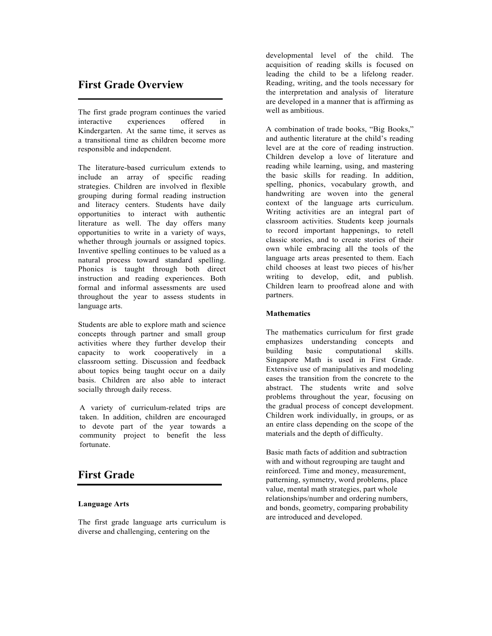### **First Grade Overview**

The first grade program continues the varied interactive experiences offered in Kindergarten. At the same time, it serves as a transitional time as children become more responsible and independent.

The literature-based curriculum extends to include an array of specific reading strategies. Children are involved in flexible grouping during formal reading instruction and literacy centers. Students have daily opportunities to interact with authentic literature as well. The day offers many opportunities to write in a variety of ways, whether through journals or assigned topics. Inventive spelling continues to be valued as a natural process toward standard spelling. Phonics is taught through both direct instruction and reading experiences. Both formal and informal assessments are used throughout the year to assess students in language arts.

Students are able to explore math and science concepts through partner and small group activities where they further develop their capacity to work cooperatively in a classroom setting. Discussion and feedback about topics being taught occur on a daily basis. Children are also able to interact socially through daily recess.

A variety of curriculum-related trips are taken. In addition, children are encouraged to devote part of the year towards a community project to benefit the less fortunate.

# **First Grade**

#### **Language Arts**

The first grade language arts curriculum is diverse and challenging, centering on the

developmental level of the child. The acquisition of reading skills is focused on leading the child to be a lifelong reader. Reading, writing, and the tools necessary for the interpretation and analysis of literature are developed in a manner that is affirming as well as ambitious.

A combination of trade books, "Big Books," and authentic literature at the child's reading level are at the core of reading instruction. Children develop a love of literature and reading while learning, using, and mastering the basic skills for reading. In addition, spelling, phonics, vocabulary growth, and handwriting are woven into the general context of the language arts curriculum. Writing activities are an integral part of classroom activities. Students keep journals to record important happenings, to retell classic stories, and to create stories of their own while embracing all the tools of the language arts areas presented to them. Each child chooses at least two pieces of his/her writing to develop, edit, and publish. Children learn to proofread alone and with partners.

#### **Mathematics**

The mathematics curriculum for first grade emphasizes understanding concepts and building basic computational skills. Singapore Math is used in First Grade. Extensive use of manipulatives and modeling eases the transition from the concrete to the abstract. The students write and solve problems throughout the year, focusing on the gradual process of concept development. Children work individually, in groups, or as an entire class depending on the scope of the materials and the depth of difficulty.

Basic math facts of addition and subtraction with and without regrouping are taught and reinforced. Time and money, measurement, patterning, symmetry, word problems, place value, mental math strategies, part whole relationships/number and ordering numbers, and bonds, geometry, comparing probability are introduced and developed.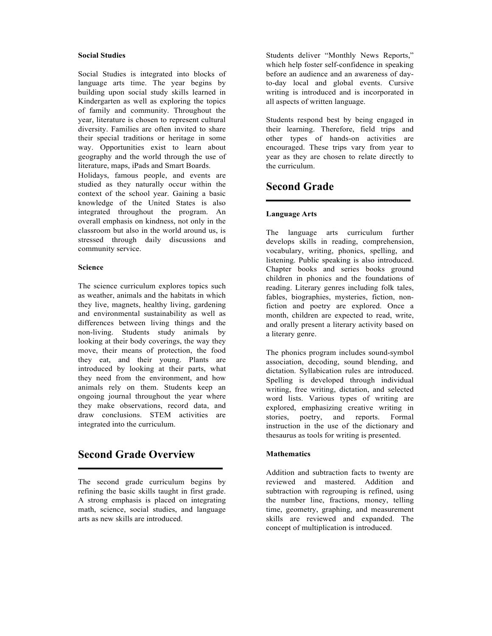#### **Social Studies**

Social Studies is integrated into blocks of language arts time. The year begins by building upon social study skills learned in Kindergarten as well as exploring the topics of family and community. Throughout the year, literature is chosen to represent cultural diversity. Families are often invited to share their special traditions or heritage in some way. Opportunities exist to learn about geography and the world through the use of literature, maps, iPads and Smart Boards.

Holidays, famous people, and events are studied as they naturally occur within the context of the school year. Gaining a basic knowledge of the United States is also integrated throughout the program. An overall emphasis on kindness, not only in the classroom but also in the world around us, is stressed through daily discussions and community service.

#### **Science**

The science curriculum explores topics such as weather, animals and the habitats in which they live, magnets, healthy living, gardening and environmental sustainability as well as differences between living things and the non-living. Students study animals by looking at their body coverings, the way they move, their means of protection, the food they eat, and their young. Plants are introduced by looking at their parts, what they need from the environment, and how animals rely on them. Students keep an ongoing journal throughout the year where they make observations, record data, and draw conclusions. STEM activities are integrated into the curriculum.

### **Second Grade Overview**

The second grade curriculum begins by refining the basic skills taught in first grade. A strong emphasis is placed on integrating math, science, social studies, and language arts as new skills are introduced.

Students deliver "Monthly News Reports," which help foster self-confidence in speaking before an audience and an awareness of dayto-day local and global events. Cursive writing is introduced and is incorporated in all aspects of written language.

Students respond best by being engaged in their learning. Therefore, field trips and other types of hands-on activities are encouraged. These trips vary from year to year as they are chosen to relate directly to the curriculum.

### **Second Grade**

#### **Language Arts**

The language arts curriculum further develops skills in reading, comprehension, vocabulary, writing, phonics, spelling, and listening. Public speaking is also introduced. Chapter books and series books ground children in phonics and the foundations of reading. Literary genres including folk tales, fables, biographies, mysteries, fiction, nonfiction and poetry are explored. Once a month, children are expected to read, write, and orally present a literary activity based on a literary genre.

The phonics program includes sound-symbol association, decoding, sound blending, and dictation. Syllabication rules are introduced. Spelling is developed through individual writing, free writing, dictation, and selected word lists. Various types of writing are explored, emphasizing creative writing in stories, poetry, and reports. Formal instruction in the use of the dictionary and thesaurus as tools for writing is presented.

#### **Mathematics**

Addition and subtraction facts to twenty are reviewed and mastered. Addition and subtraction with regrouping is refined, using the number line, fractions, money, telling time, geometry, graphing, and measurement skills are reviewed and expanded. The concept of multiplication is introduced.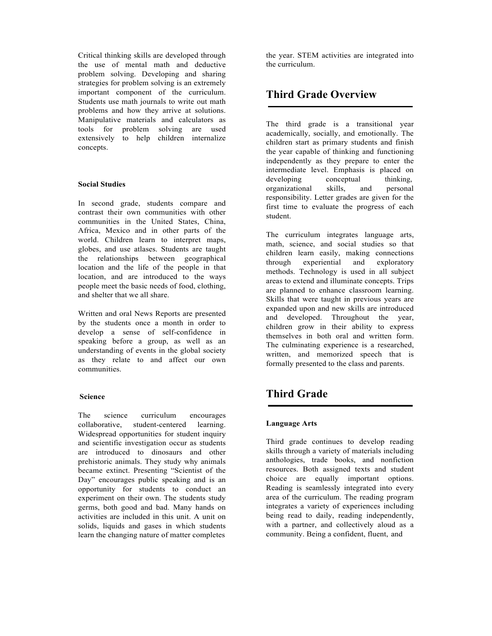Critical thinking skills are developed through the use of mental math and deductive problem solving. Developing and sharing strategies for problem solving is an extremely important component of the curriculum. Students use math journals to write out math problems and how they arrive at solutions. Manipulative materials and calculators as tools for problem solving are used extensively to help children internalize concepts.

#### **Social Studies**

In second grade, students compare and contrast their own communities with other communities in the United States, China, Africa, Mexico and in other parts of the world. Children learn to interpret maps, globes, and use atlases. Students are taught the relationships between geographical location and the life of the people in that location, and are introduced to the ways people meet the basic needs of food, clothing, and shelter that we all share.

Written and oral News Reports are presented by the students once a month in order to develop a sense of self-confidence in speaking before a group, as well as an understanding of events in the global society as they relate to and affect our own communities.

#### **Science**

The science curriculum encourages collaborative, student-centered learning. Widespread opportunities for student inquiry and scientific investigation occur as students are introduced to dinosaurs and other prehistoric animals. They study why animals became extinct. Presenting "Scientist of the Day" encourages public speaking and is an opportunity for students to conduct an experiment on their own. The students study germs, both good and bad. Many hands on activities are included in this unit. A unit on solids, liquids and gases in which students learn the changing nature of matter completes

the year. STEM activities are integrated into the curriculum.

## **Third Grade Overview**

The third grade is a transitional year academically, socially, and emotionally. The children start as primary students and finish the year capable of thinking and functioning independently as they prepare to enter the intermediate level. Emphasis is placed on developing conceptual thinking, organizational skills, and personal responsibility. Letter grades are given for the first time to evaluate the progress of each student.

The curriculum integrates language arts, math, science, and social studies so that children learn easily, making connections through experiential and exploratory methods. Technology is used in all subject areas to extend and illuminate concepts. Trips are planned to enhance classroom learning. Skills that were taught in previous years are expanded upon and new skills are introduced and developed. Throughout the year, children grow in their ability to express themselves in both oral and written form. The culminating experience is a researched, written, and memorized speech that is formally presented to the class and parents.

# **Third Grade**

#### **Language Arts**

Third grade continues to develop reading skills through a variety of materials including anthologies, trade books, and nonfiction resources. Both assigned texts and student choice are equally important options. Reading is seamlessly integrated into every area of the curriculum. The reading program integrates a variety of experiences including being read to daily, reading independently, with a partner, and collectively aloud as a community. Being a confident, fluent, and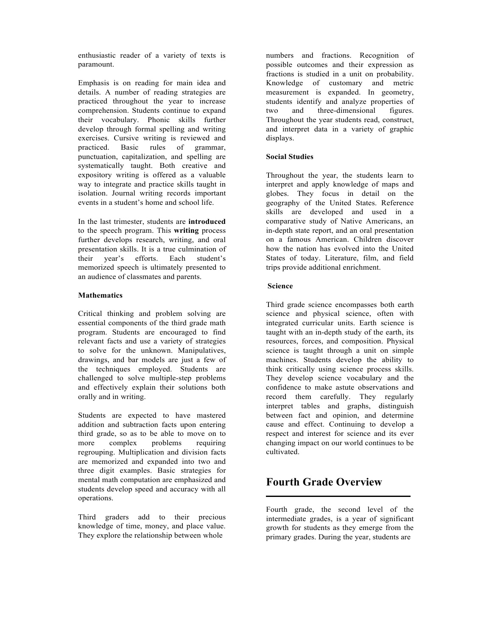enthusiastic reader of a variety of texts is paramount.

Emphasis is on reading for main idea and details. A number of reading strategies are practiced throughout the year to increase comprehension. Students continue to expand their vocabulary. Phonic skills further develop through formal spelling and writing exercises. Cursive writing is reviewed and practiced. Basic rules of grammar, punctuation, capitalization, and spelling are systematically taught. Both creative and expository writing is offered as a valuable way to integrate and practice skills taught in isolation. Journal writing records important events in a student's home and school life.

In the last trimester, students are **introduced**  to the speech program. This **writing** process further develops research, writing, and oral presentation skills. It is a true culmination of their year's efforts. Each student's memorized speech is ultimately presented to an audience of classmates and parents.

#### **Mathematics**

Critical thinking and problem solving are essential components of the third grade math program. Students are encouraged to find relevant facts and use a variety of strategies to solve for the unknown. Manipulatives, drawings, and bar models are just a few of the techniques employed. Students are challenged to solve multiple-step problems and effectively explain their solutions both orally and in writing.

Students are expected to have mastered addition and subtraction facts upon entering third grade, so as to be able to move on to more complex problems requiring regrouping. Multiplication and division facts are memorized and expanded into two and three digit examples. Basic strategies for mental math computation are emphasized and students develop speed and accuracy with all operations.

Third graders add to their precious knowledge of time, money, and place value. They explore the relationship between whole

numbers and fractions. Recognition of possible outcomes and their expression as fractions is studied in a unit on probability. Knowledge of customary and metric measurement is expanded. In geometry, students identify and analyze properties of two and three-dimensional figures. Throughout the year students read, construct, and interpret data in a variety of graphic displays.

#### **Social Studies**

Throughout the year, the students learn to interpret and apply knowledge of maps and globes. They focus in detail on the geography of the United States. Reference skills are developed and used in a comparative study of Native Americans, an in-depth state report, and an oral presentation on a famous American. Children discover how the nation has evolved into the United States of today. Literature, film, and field trips provide additional enrichment.

#### **Science**

Third grade science encompasses both earth science and physical science, often with integrated curricular units. Earth science is taught with an in-depth study of the earth, its resources, forces, and composition. Physical science is taught through a unit on simple machines. Students develop the ability to think critically using science process skills. They develop science vocabulary and the confidence to make astute observations and record them carefully. They regularly interpret tables and graphs, distinguish between fact and opinion, and determine cause and effect. Continuing to develop a respect and interest for science and its ever changing impact on our world continues to be cultivated.

### **Fourth Grade Overview**

Fourth grade, the second level of the intermediate grades, is a year of significant growth for students as they emerge from the primary grades. During the year, students are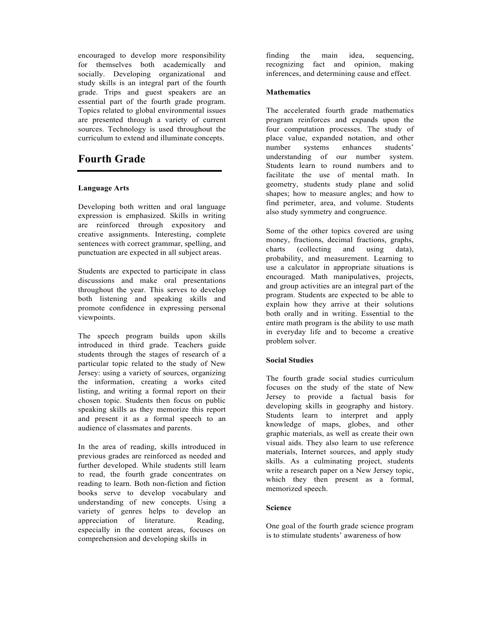encouraged to develop more responsibility for themselves both academically and socially. Developing organizational and study skills is an integral part of the fourth grade. Trips and guest speakers are an essential part of the fourth grade program. Topics related to global environmental issues are presented through a variety of current sources. Technology is used throughout the curriculum to extend and illuminate concepts.

# **Fourth Grade**

#### **Language Arts**

Developing both written and oral language expression is emphasized. Skills in writing are reinforced through expository and creative assignments. Interesting, complete sentences with correct grammar, spelling, and punctuation are expected in all subject areas.

Students are expected to participate in class discussions and make oral presentations throughout the year. This serves to develop both listening and speaking skills and promote confidence in expressing personal viewpoints.

The speech program builds upon skills introduced in third grade. Teachers guide students through the stages of research of a particular topic related to the study of New Jersey: using a variety of sources, organizing the information, creating a works cited listing, and writing a formal report on their chosen topic. Students then focus on public speaking skills as they memorize this report and present it as a formal speech to an audience of classmates and parents.

In the area of reading, skills introduced in previous grades are reinforced as needed and further developed. While students still learn to read, the fourth grade concentrates on reading to learn. Both non-fiction and fiction books serve to develop vocabulary and understanding of new concepts. Using a variety of genres helps to develop an appreciation of literature. Reading, especially in the content areas, focuses on comprehension and developing skills in

finding the main idea, sequencing, recognizing fact and opinion, making inferences, and determining cause and effect.

#### **Mathematics**

The accelerated fourth grade mathematics program reinforces and expands upon the four computation processes. The study of place value, expanded notation, and other number systems enhances students' understanding of our number system. Students learn to round numbers and to facilitate the use of mental math. In geometry, students study plane and solid shapes; how to measure angles; and how to find perimeter, area, and volume. Students also study symmetry and congruence.

Some of the other topics covered are using money, fractions, decimal fractions, graphs, charts (collecting and using data), probability, and measurement. Learning to use a calculator in appropriate situations is encouraged. Math manipulatives, projects, and group activities are an integral part of the program. Students are expected to be able to explain how they arrive at their solutions both orally and in writing. Essential to the entire math program is the ability to use math in everyday life and to become a creative problem solver.

#### **Social Studies**

The fourth grade social studies curriculum focuses on the study of the state of New Jersey to provide a factual basis for developing skills in geography and history. Students learn to interpret and apply knowledge of maps, globes, and other graphic materials, as well as create their own visual aids. They also learn to use reference materials, Internet sources, and apply study skills. As a culminating project, students write a research paper on a New Jersey topic, which they then present as a formal, memorized speech.

#### **Science**

One goal of the fourth grade science program is to stimulate students' awareness of how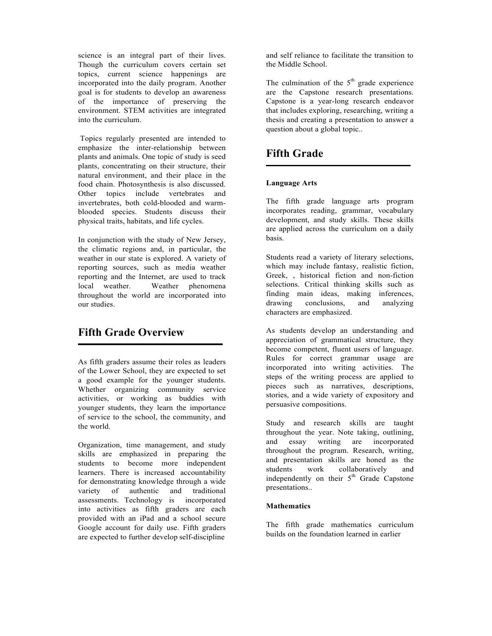science is an integral part of their lives. Though the curriculum covers certain set topics, current science happenings are incorporated into the daily program. Another goal is for students to develop an awareness of the importance of preserving the environment. STEM activities are integrated into the curriculum.

Topics regularly presented are intended to emphasize the inter-relationship between plants and animals. One topic of study is seed plants, concentrating on their structure, their natural environment, and their place in the food chain. Photosynthesis is also discussed. Other topics include vertebrates and invertebrates, both cold-blooded and warmblooded species. Students discuss their physical traits, habitats, and life cycles.

In conjunction with the study of New Jersey, the climatic regions and, in particular, the weather in our state is explored. A variety of reporting sources, such as media weather reporting and the Internet, are used to track local weather. Weather phenomena throughout the world are incorporated into our studies.

### **Fifth Grade Overview**

As fifth graders assume their roles as leaders of the Lower School, they are expected to set a good example for the younger students. Whether organizing community service activities, or working as buddies with younger students, they learn the importance of service to the school, the community, and the world.

Organization, time management, and study skills are emphasized in preparing the students to become more independent learners. There is increased accountability for demonstrating knowledge through a wide variety of authentic and traditional assessments. Technology is incorporated into activities as fifth graders are each provided with an iPad and a school secure Google account for daily use. Fifth graders are expected to further develop self-discipline

and self reliance to facilitate the transition to the Middle School.

The culmination of the  $5<sup>th</sup>$  grade experience are the Capstone research presentations. Capstone is a year-long research endeavor that includes exploring, researching, writing a thesis and creating a presentation to answer a question about a global topic..

## **Fifth Grade**

#### **Language Arts**

The fifth grade language arts program incorporates reading, grammar, vocabulary development, and study skills. These skills are applied across the curriculum on a daily basis.

Students read a variety of literary selections, which may include fantasy, realistic fiction, Greek, , historical fiction and non-fiction selections. Critical thinking skills such as finding main ideas, making inferences, drawing conclusions, and analyzing characters are emphasized.

As students develop an understanding and appreciation of grammatical structure, they become competent, fluent users of language. Rules for correct grammar usage are incorporated into writing activities. The steps of the writing process are applied to pieces such as narratives, descriptions, stories, and a wide variety of expository and persuasive compositions.

Study and research skills are taught throughout the year. Note taking, outlining, and essay writing are incorporated throughout the program. Research, writing, and presentation skills are honed as the students work collaboratively and independently on their  $5<sup>th</sup>$  Grade Capstone presentations..

#### **Mathematics**

The fifth grade mathematics curriculum builds on the foundation learned in earlier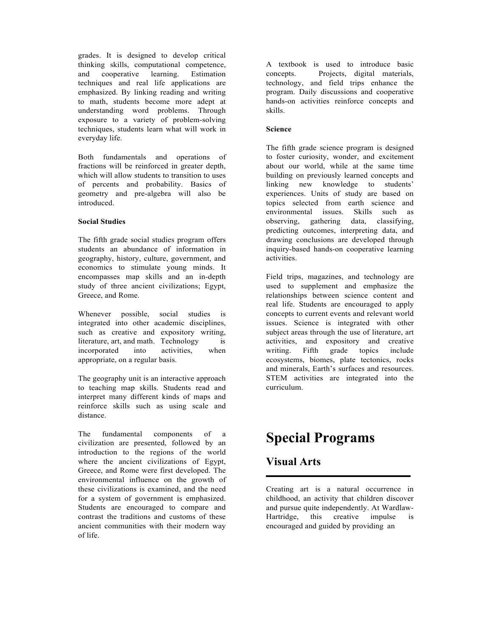grades. It is designed to develop critical thinking skills, computational competence, and cooperative learning. Estimation techniques and real life applications are emphasized. By linking reading and writing to math, students become more adept at understanding word problems. Through exposure to a variety of problem-solving techniques, students learn what will work in everyday life.

Both fundamentals and operations of fractions will be reinforced in greater depth, which will allow students to transition to uses of percents and probability. Basics of geometry and pre-algebra will also be introduced.

#### **Social Studies**

The fifth grade social studies program offers students an abundance of information in geography, history, culture, government, and economics to stimulate young minds. It encompasses map skills and an in-depth study of three ancient civilizations; Egypt, Greece, and Rome.

Whenever possible, social studies is integrated into other academic disciplines, such as creative and expository writing, literature, art, and math. Technology is incorporated into activities, when appropriate, on a regular basis.

The geography unit is an interactive approach to teaching map skills. Students read and interpret many different kinds of maps and reinforce skills such as using scale and distance.

The fundamental components of a civilization are presented, followed by an introduction to the regions of the world where the ancient civilizations of Egypt, Greece, and Rome were first developed. The environmental influence on the growth of these civilizations is examined, and the need for a system of government is emphasized. Students are encouraged to compare and contrast the traditions and customs of these ancient communities with their modern way of life.

A textbook is used to introduce basic concepts. Projects, digital materials, technology, and field trips enhance the program. Daily discussions and cooperative hands-on activities reinforce concepts and skills.

#### **Science**

The fifth grade science program is designed to foster curiosity, wonder, and excitement about our world, while at the same time building on previously learned concepts and linking new knowledge to students' experiences. Units of study are based on topics selected from earth science and environmental issues. Skills such as observing, gathering data, classifying, predicting outcomes, interpreting data, and drawing conclusions are developed through inquiry-based hands-on cooperative learning activities.

Field trips, magazines, and technology are used to supplement and emphasize the relationships between science content and real life. Students are encouraged to apply concepts to current events and relevant world issues. Science is integrated with other subject areas through the use of literature, art activities, and expository and creative writing. Fifth grade topics include ecosystems, biomes, plate tectonics, rocks and minerals, Earth's surfaces and resources. STEM activities are integrated into the curriculum.

# **Special Programs**

# **Visual Arts**

Creating art is a natural occurrence in childhood, an activity that children discover and pursue quite independently. At Wardlaw-Hartridge, this creative impulse is encouraged and guided by providing an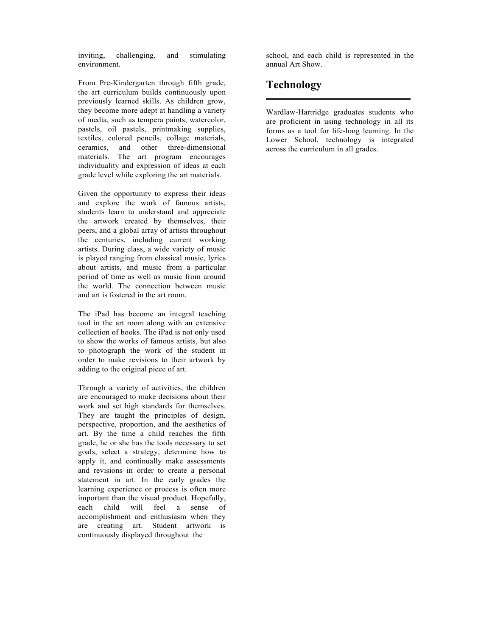inviting, challenging, and stimulating environment.

From Pre-Kindergarten through fifth grade, the art curriculum builds continuously upon previously learned skills. As children grow, they become more adept at handling a variety of media, such as tempera paints, watercolor, pastels, oil pastels, printmaking supplies, textiles, colored pencils, collage materials, ceramics, and other three-dimensional materials. The art program encourages individuality and expression of ideas at each grade level while exploring the art materials.

Given the opportunity to express their ideas and explore the work of famous artists, students learn to understand and appreciate the artwork created by themselves, their peers, and a global array of artists throughout the centuries, including current working artists. During class, a wide variety of music is played ranging from classical music, lyrics about artists, and music from a particular period of time as well as music from around the world. The connection between music and art is fostered in the art room.

The iPad has become an integral teaching tool in the art room along with an extensive collection of books. The iPad is not only used to show the works of famous artists, but also to photograph the work of the student in order to make revisions to their artwork by adding to the original piece of art.

Through a variety of activities, the children are encouraged to make decisions about their work and set high standards for themselves. They are taught the principles of design, perspective, proportion, and the aesthetics of art. By the time a child reaches the fifth grade, he or she has the tools necessary to set goals, select a strategy, determine how to apply it, and continually make assessments and revisions in order to create a personal statement in art. In the early grades the learning experience or process is often more important than the visual product. Hopefully, each child will feel a sense of accomplishment and enthusiasm when they are creating art. Student artwork is continuously displayed throughout the

school, and each child is represented in the annual Art Show.

# **Technology**

Wardlaw-Hartridge graduates students who are proficient in using technology in all its forms as a tool for life-long learning. In the Lower School, technology is integrated across the curriculum in all grades.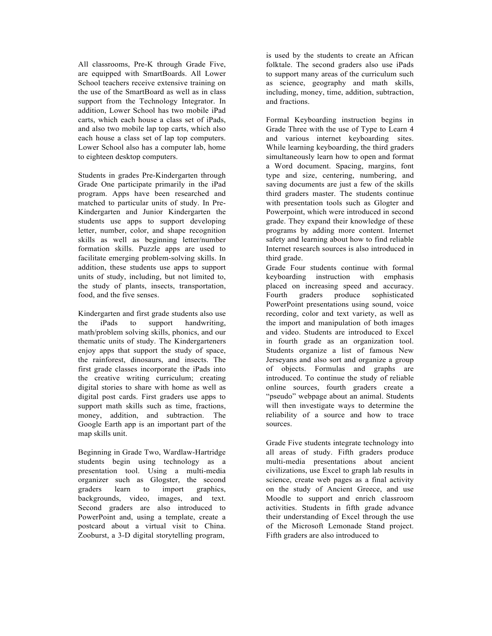All classrooms, Pre-K through Grade Five, are equipped with SmartBoards. All Lower School teachers receive extensive training on the use of the SmartBoard as well as in class support from the Technology Integrator. In addition, Lower School has two mobile iPad carts, which each house a class set of iPads, and also two mobile lap top carts, which also each house a class set of lap top computers. Lower School also has a computer lab, home to eighteen desktop computers.

Students in grades Pre-Kindergarten through Grade One participate primarily in the iPad program. Apps have been researched and matched to particular units of study. In Pre-Kindergarten and Junior Kindergarten the students use apps to support developing letter, number, color, and shape recognition skills as well as beginning letter/number formation skills. Puzzle apps are used to facilitate emerging problem-solving skills. In addition, these students use apps to support units of study, including, but not limited to, the study of plants, insects, transportation, food, and the five senses.

Kindergarten and first grade students also use the iPads to support handwriting, math/problem solving skills, phonics, and our thematic units of study. The Kindergarteners enjoy apps that support the study of space, the rainforest, dinosaurs, and insects. The first grade classes incorporate the iPads into the creative writing curriculum; creating digital stories to share with home as well as digital post cards. First graders use apps to support math skills such as time, fractions, money, addition, and subtraction. The Google Earth app is an important part of the map skills unit.

Beginning in Grade Two, Wardlaw-Hartridge students begin using technology as a presentation tool. Using a multi-media organizer such as Glogster, the second graders learn to import graphics, backgrounds, video, images, and text. Second graders are also introduced to PowerPoint and, using a template, create a postcard about a virtual visit to China. Zooburst, a 3-D digital storytelling program,

is used by the students to create an African folktale. The second graders also use iPads to support many areas of the curriculum such as science, geography and math skills, including, money, time, addition, subtraction, and fractions.

Formal Keyboarding instruction begins in Grade Three with the use of Type to Learn 4 and various internet keyboarding sites. While learning keyboarding, the third graders simultaneously learn how to open and format a Word document. Spacing, margins, font type and size, centering, numbering, and saving documents are just a few of the skills third graders master. The students continue with presentation tools such as Glogter and Powerpoint, which were introduced in second grade. They expand their knowledge of these programs by adding more content. Internet safety and learning about how to find reliable Internet research sources is also introduced in third grade.

Grade Four students continue with formal keyboarding instruction with emphasis placed on increasing speed and accuracy. Fourth graders produce sophisticated PowerPoint presentations using sound, voice recording, color and text variety, as well as the import and manipulation of both images and video. Students are introduced to Excel in fourth grade as an organization tool. Students organize a list of famous New Jerseyans and also sort and organize a group of objects. Formulas and graphs are introduced. To continue the study of reliable online sources, fourth graders create a "pseudo" webpage about an animal. Students will then investigate ways to determine the reliability of a source and how to trace sources.

Grade Five students integrate technology into all areas of study. Fifth graders produce multi-media presentations about ancient civilizations, use Excel to graph lab results in science, create web pages as a final activity on the study of Ancient Greece, and use Moodle to support and enrich classroom activities. Students in fifth grade advance their understanding of Excel through the use of the Microsoft Lemonade Stand project. Fifth graders are also introduced to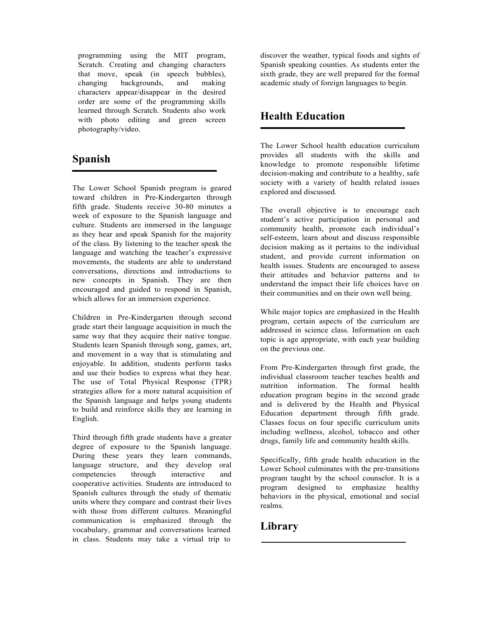programming using the MIT program, Scratch. Creating and changing characters that move, speak (in speech bubbles), changing backgrounds, and making characters appear/disappear in the desired order are some of the programming skills learned through Scratch. Students also work with photo editing and green screen photography/video.

# **Spanish**

The Lower School Spanish program is geared toward children in Pre-Kindergarten through fifth grade. Students receive 30-80 minutes a week of exposure to the Spanish language and culture. Students are immersed in the language as they hear and speak Spanish for the majority of the class. By listening to the teacher speak the language and watching the teacher's expressive movements, the students are able to understand conversations, directions and introductions to new concepts in Spanish. They are then encouraged and guided to respond in Spanish, which allows for an immersion experience.

Children in Pre-Kindergarten through second grade start their language acquisition in much the same way that they acquire their native tongue. Students learn Spanish through song, games, art, and movement in a way that is stimulating and enjoyable. In addition, students perform tasks and use their bodies to express what they hear. The use of Total Physical Response (TPR) strategies allow for a more natural acquisition of the Spanish language and helps young students to build and reinforce skills they are learning in English.

Third through fifth grade students have a greater degree of exposure to the Spanish language. During these years they learn commands, language structure, and they develop oral competencies through interactive and cooperative activities. Students are introduced to Spanish cultures through the study of thematic units where they compare and contrast their lives with those from different cultures. Meaningful communication is emphasized through the vocabulary, grammar and conversations learned in class. Students may take a virtual trip to

discover the weather, typical foods and sights of Spanish speaking counties. As students enter the sixth grade, they are well prepared for the formal academic study of foreign languages to begin.

# **Health Education**

The Lower School health education curriculum provides all students with the skills and knowledge to promote responsible lifetime decision-making and contribute to a healthy, safe society with a variety of health related issues explored and discussed.

The overall objective is to encourage each student's active participation in personal and community health, promote each individual's self-esteem, learn about and discuss responsible decision making as it pertains to the individual student, and provide current information on health issues. Students are encouraged to assess their attitudes and behavior patterns and to understand the impact their life choices have on their communities and on their own well being.

While major topics are emphasized in the Health program, certain aspects of the curriculum are addressed in science class. Information on each topic is age appropriate, with each year building on the previous one.

From Pre-Kindergarten through first grade, the individual classroom teacher teaches health and nutrition information. The formal health education program begins in the second grade and is delivered by the Health and Physical Education department through fifth grade. Classes focus on four specific curriculum units including wellness, alcohol, tobacco and other drugs, family life and community health skills.

Specifically, fifth grade health education in the Lower School culminates with the pre-transitions program taught by the school counselor. It is a program designed to emphasize healthy behaviors in the physical, emotional and social realms.

### **Library**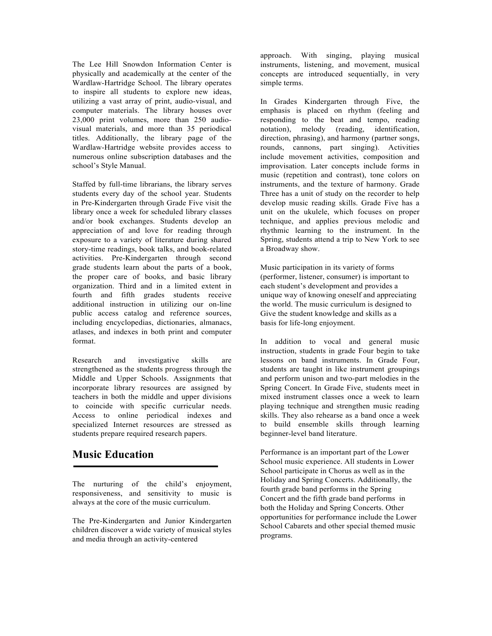The Lee Hill Snowdon Information Center is physically and academically at the center of the Wardlaw-Hartridge School. The library operates to inspire all students to explore new ideas, utilizing a vast array of print, audio-visual, and computer materials. The library houses over 23,000 print volumes, more than 250 audiovisual materials, and more than 35 periodical titles. Additionally, the library page of the Wardlaw-Hartridge website provides access to numerous online subscription databases and the school's Style Manual.

Staffed by full-time librarians, the library serves students every day of the school year. Students in Pre-Kindergarten through Grade Five visit the library once a week for scheduled library classes and/or book exchanges. Students develop an appreciation of and love for reading through exposure to a variety of literature during shared story-time readings, book talks, and book-related activities. Pre-Kindergarten through second grade students learn about the parts of a book, the proper care of books, and basic library organization. Third and in a limited extent in fourth and fifth grades students receive additional instruction in utilizing our on-line public access catalog and reference sources, including encyclopedias, dictionaries, almanacs, atlases, and indexes in both print and computer format.

Research and investigative skills are strengthened as the students progress through the Middle and Upper Schools. Assignments that incorporate library resources are assigned by teachers in both the middle and upper divisions to coincide with specific curricular needs. Access to online periodical indexes and specialized Internet resources are stressed as students prepare required research papers.

### **Music Education**

The nurturing of the child's enjoyment, responsiveness, and sensitivity to music is always at the core of the music curriculum.

The Pre-Kindergarten and Junior Kindergarten children discover a wide variety of musical styles and media through an activity-centered

approach. With singing, playing musical instruments, listening, and movement, musical concepts are introduced sequentially, in very simple terms.

In Grades Kindergarten through Five, the emphasis is placed on rhythm (feeling and responding to the beat and tempo, reading notation), melody (reading, identification, direction, phrasing), and harmony (partner songs, rounds, cannons, part singing). Activities include movement activities, composition and improvisation. Later concepts include forms in music (repetition and contrast), tone colors on instruments, and the texture of harmony. Grade Three has a unit of study on the recorder to help develop music reading skills. Grade Five has a unit on the ukulele, which focuses on proper technique, and applies previous melodic and rhythmic learning to the instrument. In the Spring, students attend a trip to New York to see a Broadway show.

Music participation in its variety of forms (performer, listener, consumer) is important to each student's development and provides a unique way of knowing oneself and appreciating the world. The music curriculum is designed to Give the student knowledge and skills as a basis for life-long enjoyment.

In addition to vocal and general music instruction, students in grade Four begin to take lessons on band instruments. In Grade Four, students are taught in like instrument groupings and perform unison and two-part melodies in the Spring Concert. In Grade Five, students meet in mixed instrument classes once a week to learn playing technique and strengthen music reading skills. They also rehearse as a band once a week to build ensemble skills through learning beginner-level band literature.

Performance is an important part of the Lower School music experience. All students in Lower School participate in Chorus as well as in the Holiday and Spring Concerts. Additionally, the fourth grade band performs in the Spring Concert and the fifth grade band performs in both the Holiday and Spring Concerts. Other opportunities for performance include the Lower School Cabarets and other special themed music programs.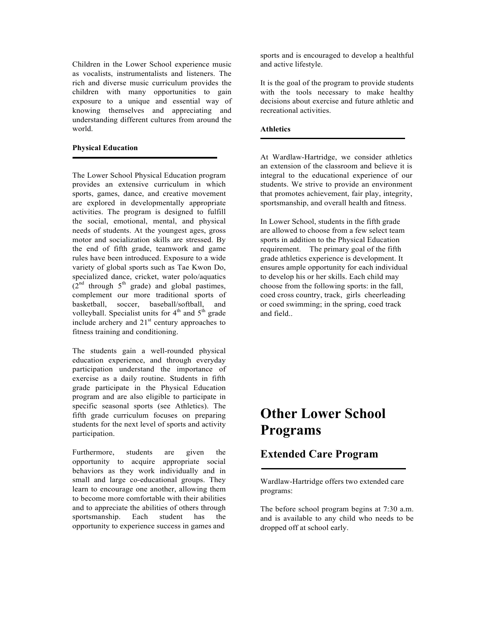Children in the Lower School experience music as vocalists, instrumentalists and listeners. The rich and diverse music curriculum provides the children with many opportunities to gain exposure to a unique and essential way of knowing themselves and appreciating and understanding different cultures from around the world.

#### **Physical Education**

The Lower School Physical Education program provides an extensive curriculum in which sports, games, dance, and creative movement are explored in developmentally appropriate activities. The program is designed to fulfill the social, emotional, mental, and physical needs of students. At the youngest ages, gross motor and socialization skills are stressed. By the end of fifth grade, teamwork and game rules have been introduced. Exposure to a wide variety of global sports such as Tae Kwon Do, specialized dance, cricket, water polo/aquatics  $(2^{nd}$  through  $5^{th}$  grade) and global pastimes, complement our more traditional sports of basketball, soccer, baseball/softball, and volleyball. Specialist units for  $4<sup>th</sup>$  and  $5<sup>th</sup>$  grade include archery and  $21<sup>st</sup>$  century approaches to fitness training and conditioning.

The students gain a well-rounded physical education experience, and through everyday participation understand the importance of exercise as a daily routine. Students in fifth grade participate in the Physical Education program and are also eligible to participate in specific seasonal sports (see Athletics). The fifth grade curriculum focuses on preparing students for the next level of sports and activity participation.

Furthermore, students are given the opportunity to acquire appropriate social behaviors as they work individually and in small and large co-educational groups. They learn to encourage one another, allowing them to become more comfortable with their abilities and to appreciate the abilities of others through sportsmanship. Each student has the opportunity to experience success in games and

sports and is encouraged to develop a healthful and active lifestyle.

It is the goal of the program to provide students with the tools necessary to make healthy decisions about exercise and future athletic and recreational activities.

#### **Athletics**

At Wardlaw-Hartridge, we consider athletics an extension of the classroom and believe it is integral to the educational experience of our students. We strive to provide an environment that promotes achievement, fair play, integrity, sportsmanship, and overall health and fitness.

In Lower School, students in the fifth grade are allowed to choose from a few select team sports in addition to the Physical Education requirement. The primary goal of the fifth grade athletics experience is development. It ensures ample opportunity for each individual to develop his or her skills. Each child may choose from the following sports: in the fall, coed cross country, track, girls cheerleading or coed swimming; in the spring, coed track and field..

# **Other Lower School Programs**

# **Extended Care Program**

Wardlaw-Hartridge offers two extended care programs:

The before school program begins at 7:30 a.m. and is available to any child who needs to be dropped off at school early.